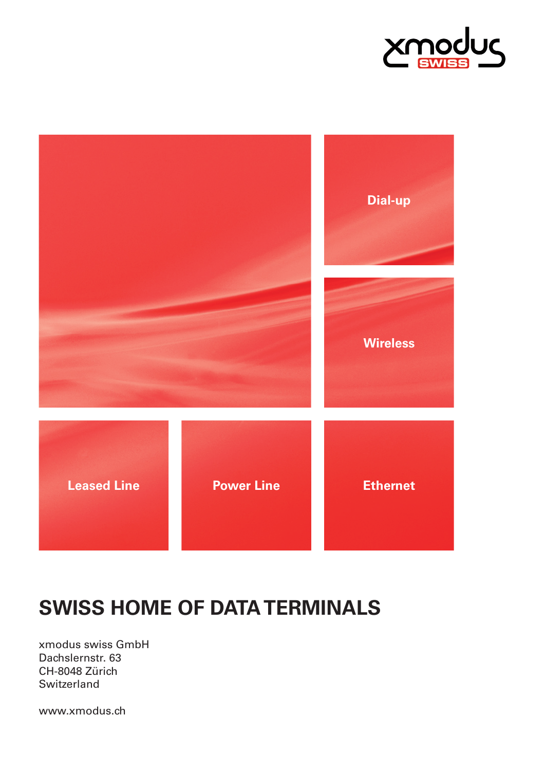



## **SWISS HOME OF DATA TERMINALS**

xmodus swiss GmbH Dachslernstr. 63 CH-8048 Zürich **Switzerland** 

www.xmodus.ch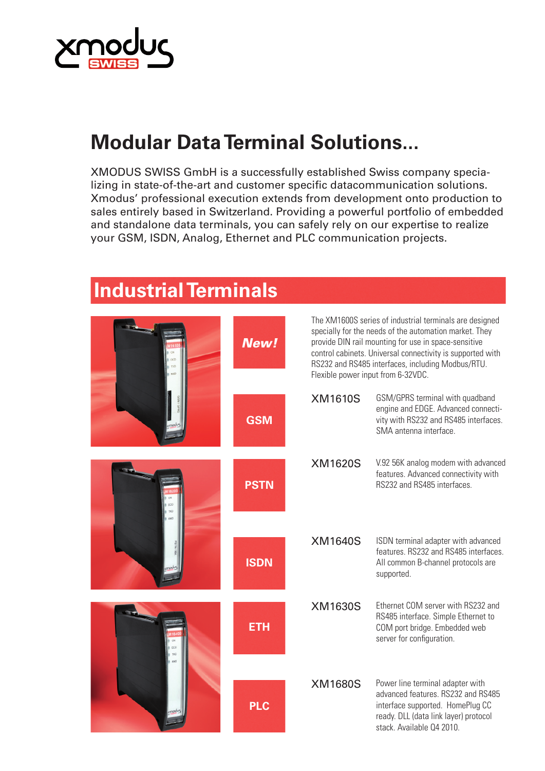

## **Modular Data Terminal Solutions...**

XMODUS SWISS GmbH is a successfully established Swiss company specializing in state-of-the-art and customer specific datacommunication solutions. Xmodus' professional execution extends from development onto production to sales entirely based in Switzerland. Providing a powerful portfolio of embedded and standalone data terminals, you can safely rely on our expertise to realize your GSM, ISDN, Analog, Ethernet and PLC communication projects.

|  | <b>New!</b> | The XM1600S series of industrial terminals are designed<br>specially for the needs of the automation market. They<br>provide DIN rail mounting for use in space-sensitive<br>control cabinets. Universal connectivity is supported with<br>RS232 and RS485 interfaces, including Modbus/RTU.<br>Flexible power input from 6-32VDC. |                                                                                                                                                                                  |
|--|-------------|------------------------------------------------------------------------------------------------------------------------------------------------------------------------------------------------------------------------------------------------------------------------------------------------------------------------------------|----------------------------------------------------------------------------------------------------------------------------------------------------------------------------------|
|  | <b>GSM</b>  | <b>XM1610S</b>                                                                                                                                                                                                                                                                                                                     | GSM/GPRS terminal with quadband<br>engine and EDGE. Advanced connecti-<br>vity with RS232 and RS485 interfaces.<br>SMA antenna interface.                                        |
|  | <b>PSTN</b> | <b>XM1620S</b>                                                                                                                                                                                                                                                                                                                     | V.92 56K analog modem with advanced<br>features. Advanced connectivity with<br>RS232 and RS485 interfaces.                                                                       |
|  | <b>ISDN</b> | <b>XM1640S</b>                                                                                                                                                                                                                                                                                                                     | ISDN terminal adapter with advanced<br>features. RS232 and RS485 interfaces.<br>All common B-channel protocols are<br>supported.                                                 |
|  | <b>ETH</b>  | <b>XM1630S</b>                                                                                                                                                                                                                                                                                                                     | Ethernet COM server with RS232 and<br>RS485 interface. Simple Ethernet to<br>COM port bridge. Embedded web<br>server for configuration.                                          |
|  | <b>PLC</b>  | <b>XM1680S</b>                                                                                                                                                                                                                                                                                                                     | Power line terminal adapter with<br>advanced features. RS232 and RS485<br>interface supported. HomePlug CC<br>ready. DLL (data link layer) protocol<br>stack. Available Q4 2010. |

## **Industrial Terminals**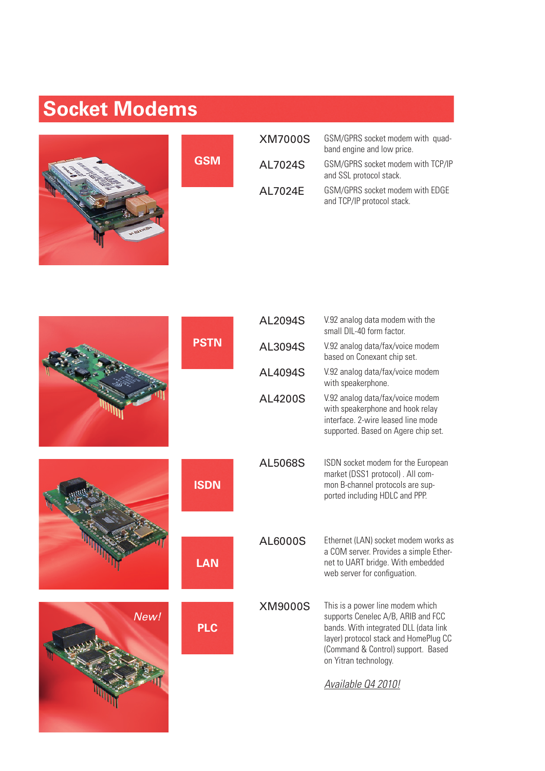## **Socket Modems**



**GSM**

| <b>XM7000S</b> | GSM/GPRS socket modem with quad-<br>band engine and low price. |
|----------------|----------------------------------------------------------------|
| AL7024S        | GSM/GPRS socket modem with TCP/IP<br>and SSL protocol stack.   |
| AL7024E        | GSM/GPRS socket modem with EDGE<br>and TCP/IP protocol stack.  |

|      |             | AL2094S        | V.92 analog data modem with the<br>small DIL-40 form factor.                                                                                                                                                                                  |
|------|-------------|----------------|-----------------------------------------------------------------------------------------------------------------------------------------------------------------------------------------------------------------------------------------------|
|      | <b>PSTN</b> | AL3094S        | V.92 analog data/fax/voice modem<br>based on Conexant chip set.                                                                                                                                                                               |
|      |             | AL4094S        | V.92 analog data/fax/voice modem<br>with speakerphone.                                                                                                                                                                                        |
|      |             | <b>AL4200S</b> | V.92 analog data/fax/voice modem<br>with speakerphone and hook relay<br>interface. 2-wire leased line mode<br>supported. Based on Agere chip set.                                                                                             |
|      | <b>ISDN</b> | AL5068S        | ISDN socket modem for the European<br>market (DSS1 protocol). All com-<br>mon B-channel protocols are sup-<br>ported including HDLC and PPP.                                                                                                  |
|      | <b>LAN</b>  | AL6000S        | Ethernet (LAN) socket modem works as<br>a COM server. Provides a simple Ether-<br>net to UART bridge. With embedded<br>web server for configuation.                                                                                           |
| New! | <b>PLC</b>  | <b>XM9000S</b> | This is a power line modem which<br>supports Cenelec A/B, ARIB and FCC<br>bands. With integrated DLL (data link<br>layer) protocol stack and HomePlug CC<br>(Command & Control) support. Based<br>on Yitran technology.<br>Available 04 2010! |
|      |             |                |                                                                                                                                                                                                                                               |